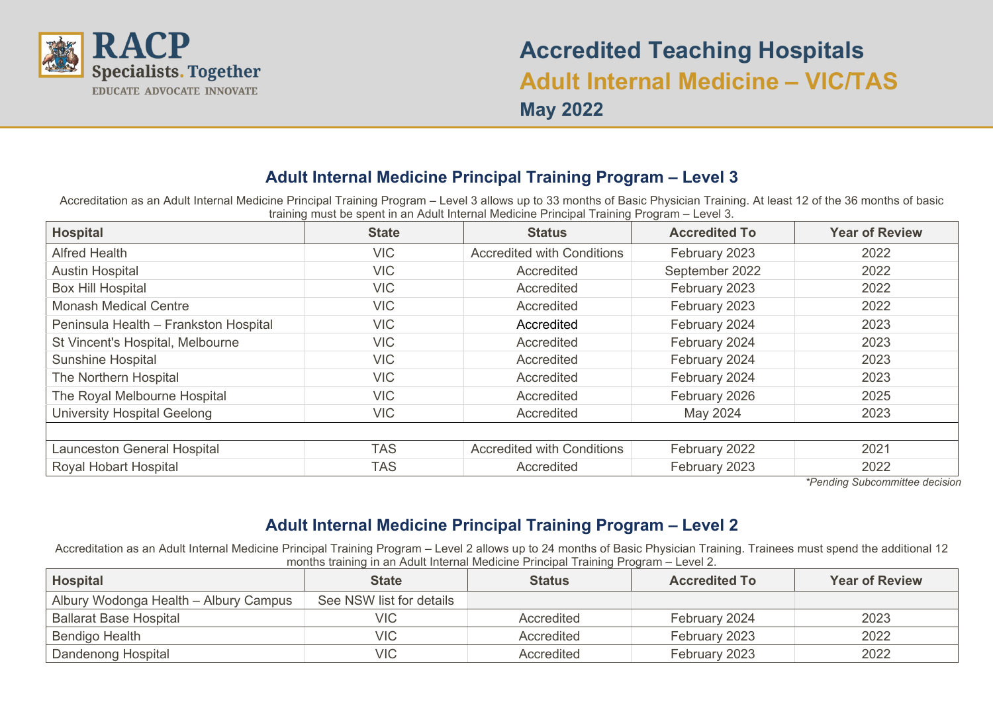

# **Accredited Teaching Hospitals Adult Internal Medicine – VIC/TAS May 2022**

## **Adult Internal Medicine Principal Training Program – Level 3**

Accreditation as an Adult Internal Medicine Principal Training Program – Level 3 allows up to 33 months of Basic Physician Training. At least 12 of the 36 months of basic training must be spent in an Adult Internal Medicine Principal Training Program – Level 3.

| <b>Hospital</b>                       | <b>State</b> | <b>Status</b>                     | <b>Accredited To</b> | <b>Year of Review</b> |  |
|---------------------------------------|--------------|-----------------------------------|----------------------|-----------------------|--|
| <b>Alfred Health</b>                  | VIC.         | <b>Accredited with Conditions</b> | February 2023        | 2022                  |  |
| <b>Austin Hospital</b>                | VIC.         | Accredited                        | September 2022       | 2022                  |  |
| <b>Box Hill Hospital</b>              | VIC          | Accredited                        | February 2023        | 2022                  |  |
| <b>Monash Medical Centre</b>          | VIC.         | Accredited                        | February 2023        | 2022                  |  |
| Peninsula Health - Frankston Hospital | VIC.         | Accredited                        | February 2024        | 2023                  |  |
| St Vincent's Hospital, Melbourne      | VIC.         | Accredited                        | February 2024        | 2023                  |  |
| Sunshine Hospital                     | VIC.         | Accredited                        | February 2024        | 2023                  |  |
| The Northern Hospital                 | VIC          | Accredited                        | February 2024        | 2023                  |  |
| The Royal Melbourne Hospital          | VIC.         | Accredited                        | February 2026        | 2025                  |  |
| University Hospital Geelong           | VIC.         | Accredited                        | May 2024             | 2023                  |  |
|                                       |              |                                   |                      |                       |  |
| <b>Launceston General Hospital</b>    | <b>TAS</b>   | <b>Accredited with Conditions</b> | February 2022        | 2021                  |  |
| <b>Royal Hobart Hospital</b>          | <b>TAS</b>   | Accredited                        | February 2023        | 2022                  |  |

*\*Pending Subcommittee decision*

#### **Adult Internal Medicine Principal Training Program – Level 2**

Accreditation as an Adult Internal Medicine Principal Training Program – Level 2 allows up to 24 months of Basic Physician Training. Trainees must spend the additional 12 months training in an Adult Internal Medicine Principal Training Program – Level 2.

| <b>Hospital</b>                       | <b>State</b>             | <b>Status</b> | <b>Accredited To</b> | <b>Year of Review</b> |
|---------------------------------------|--------------------------|---------------|----------------------|-----------------------|
| Albury Wodonga Health - Albury Campus | See NSW list for details |               |                      |                       |
| <b>Ballarat Base Hospital</b>         | <b>VIC</b>               | Accredited    | February 2024        | 2023                  |
| Bendigo Health                        | <b>VIC</b>               | Accredited    | February 2023        | 2022                  |
| Dandenong Hospital                    | <b>VIC</b>               | Accredited    | February 2023        | 2022                  |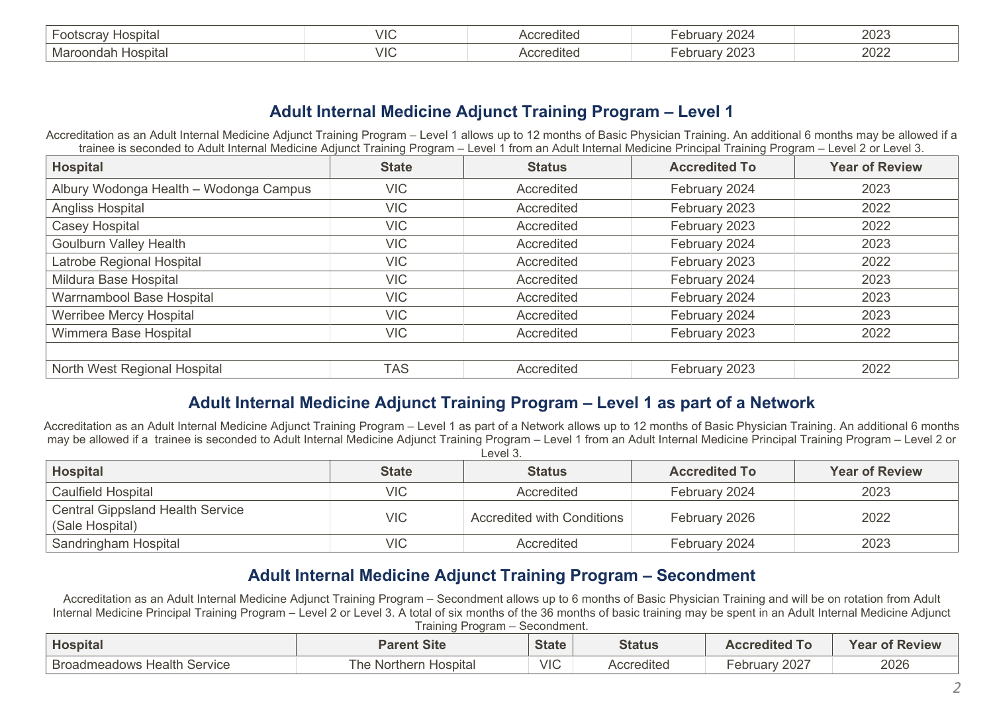| $\mathsf{l}\mathsf{a}\mathsf{a}\mathsf{n}\mathsf{u}\mathsf{t}$<br>ootscrav<br>⊓∪sbitai | . $\mathsf{H}\mathsf{C}$ | $\sim$<br>~~<br>59 I GU | $\sim$ $\sim$<br>$\sim$<br>-024<br>ua.<br>UN. | nnnn<br>∠∪∠∖ |
|----------------------------------------------------------------------------------------|--------------------------|-------------------------|-----------------------------------------------|--------------|
| Hospita<br>oondar<br>Mar                                                               | .11 <sup>c</sup>         | $\sim$<br>uitou         | $\sim$ $\sim$ $\sim$<br>∴∪∠∖                  | ∩∩∩<br>LULL  |

# **Adult Internal Medicine Adjunct Training Program – Level 1**

Accreditation as an Adult Internal Medicine Adjunct Training Program – Level 1 allows up to 12 months of Basic Physician Training. An additional 6 months may be allowed if a trainee is seconded to Adult Internal Medicine Adjunct Training Program – Level 1 from an Adult Internal Medicine Principal Training Program – Level 2 or Level 3.

| <b>Hospital</b>                        | <b>State</b> | <b>Status</b> | <b>Accredited To</b> | <b>Year of Review</b> |
|----------------------------------------|--------------|---------------|----------------------|-----------------------|
| Albury Wodonga Health - Wodonga Campus | <b>VIC</b>   | Accredited    | February 2024        | 2023                  |
| Angliss Hospital                       | VIC.         | Accredited    | February 2023        | 2022                  |
| Casey Hospital                         | <b>VIC</b>   | Accredited    | February 2023        | 2022                  |
| <b>Goulburn Valley Health</b>          | VIC.         | Accredited    | February 2024        | 2023                  |
| Latrobe Regional Hospital              | <b>VIC</b>   | Accredited    | February 2023        | 2022                  |
| Mildura Base Hospital                  | VIC.         | Accredited    | February 2024        | 2023                  |
| Warrnambool Base Hospital              | VIC.         | Accredited    | February 2024        | 2023                  |
| Werribee Mercy Hospital                | VIC.         | Accredited    | February 2024        | 2023                  |
| Wimmera Base Hospital                  | VIC.         | Accredited    | February 2023        | 2022                  |
|                                        |              |               |                      |                       |
| North West Regional Hospital           | <b>TAS</b>   | Accredited    | February 2023        | 2022                  |

### **Adult Internal Medicine Adjunct Training Program – Level 1 as part of a Network**

Accreditation as an Adult Internal Medicine Adjunct Training Program – Level 1 as part of a Network allows up to 12 months of Basic Physician Training. An additional 6 months may be allowed if a trainee is seconded to Adult Internal Medicine Adjunct Training Program – Level 1 from an Adult Internal Medicine Principal Training Program – Level 2 or  $\sim$ 

| <b>Hospital</b>                                            | <b>State</b> | <b>Status</b>                     | <b>Accredited To</b> | <b>Year of Review</b> |  |
|------------------------------------------------------------|--------------|-----------------------------------|----------------------|-----------------------|--|
| <b>Caulfield Hospital</b>                                  | <b>VIC</b>   | Accredited                        | February 2024        | 2023                  |  |
| <b>Central Gippsland Health Service</b><br>(Sale Hospital) | <b>VIC</b>   | <b>Accredited with Conditions</b> | February 2026        | 2022                  |  |
| Sandringham Hospital                                       | VIC          | Accredited                        | February 2024        | 2023                  |  |

### **Adult Internal Medicine Adjunct Training Program – Secondment**

Accreditation as an Adult Internal Medicine Adjunct Training Program – Secondment allows up to 6 months of Basic Physician Training and will be on rotation from Adult Internal Medicine Principal Training Program – Level 2 or Level 3. A total of six months of the 36 months of basic training may be spent in an Adult Internal Medicine Adjunct Training Program – Secondment.

| <b>Hospital</b>                          | <b>Parent Site</b>        | <b>State</b> | <b>Status</b>          | <b>Accredited To</b> | Year<br>of Review |
|------------------------------------------|---------------------------|--------------|------------------------|----------------------|-------------------|
| Health<br>Service<br><b>Broadmeadows</b> | Hospital<br>l he Northern | <b>VIC</b>   | $\cdots$<br>Accredited | 2027<br>ebruarv      | 2026              |